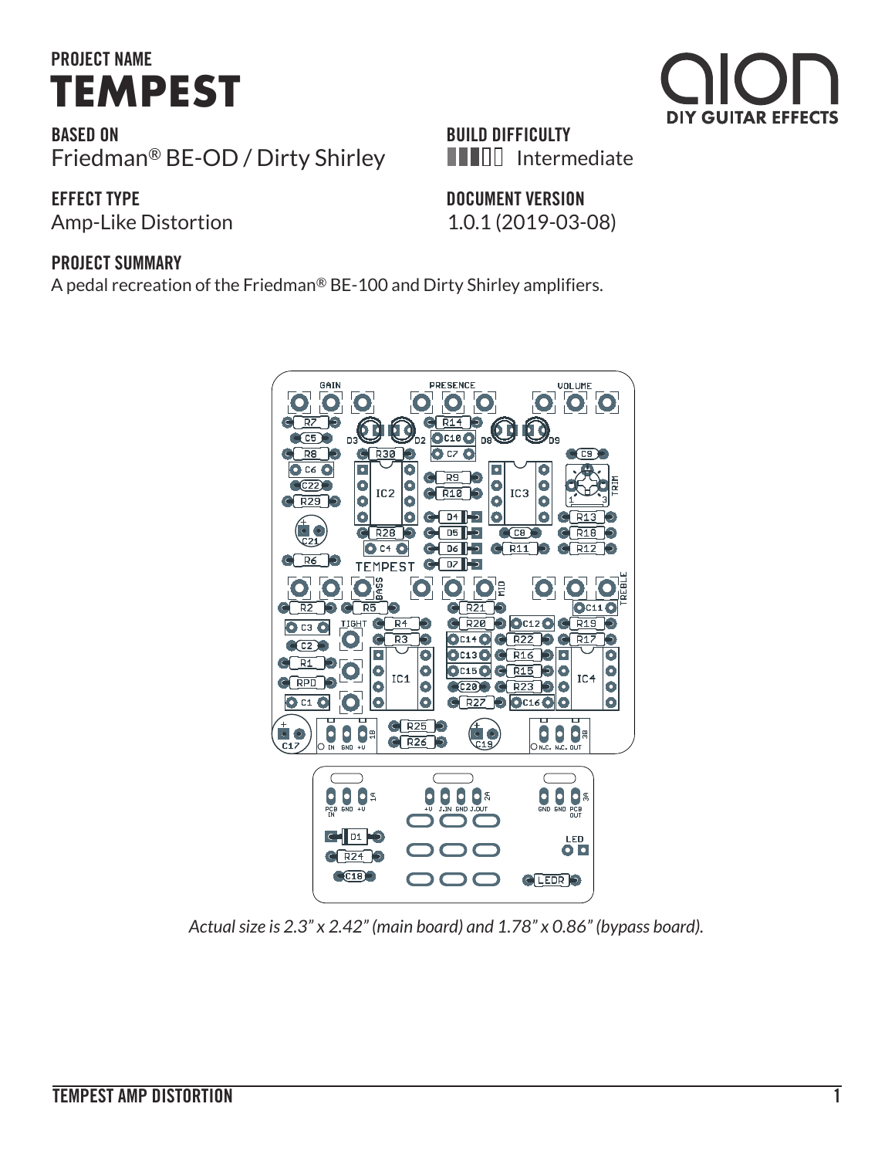# **PROJECT NAME TEMPEST**

**BASED ON** Friedman® BE-OD / Dirty Shirley

### **EFFECT TYPE**

Amp-Like Distortion 1.0.1 (2019-03-08)

### **BUILD DIFFICULTY IIIIII** Intermediate

**DOCUMENT VERSION**

#### **PROJECT SUMMARY**

A pedal recreation of the Friedman® BE-100 and Dirty Shirley amplifiers.



*Actual size is 2.3" x 2.42" (main board) and 1.78" x 0.86" (bypass board).*

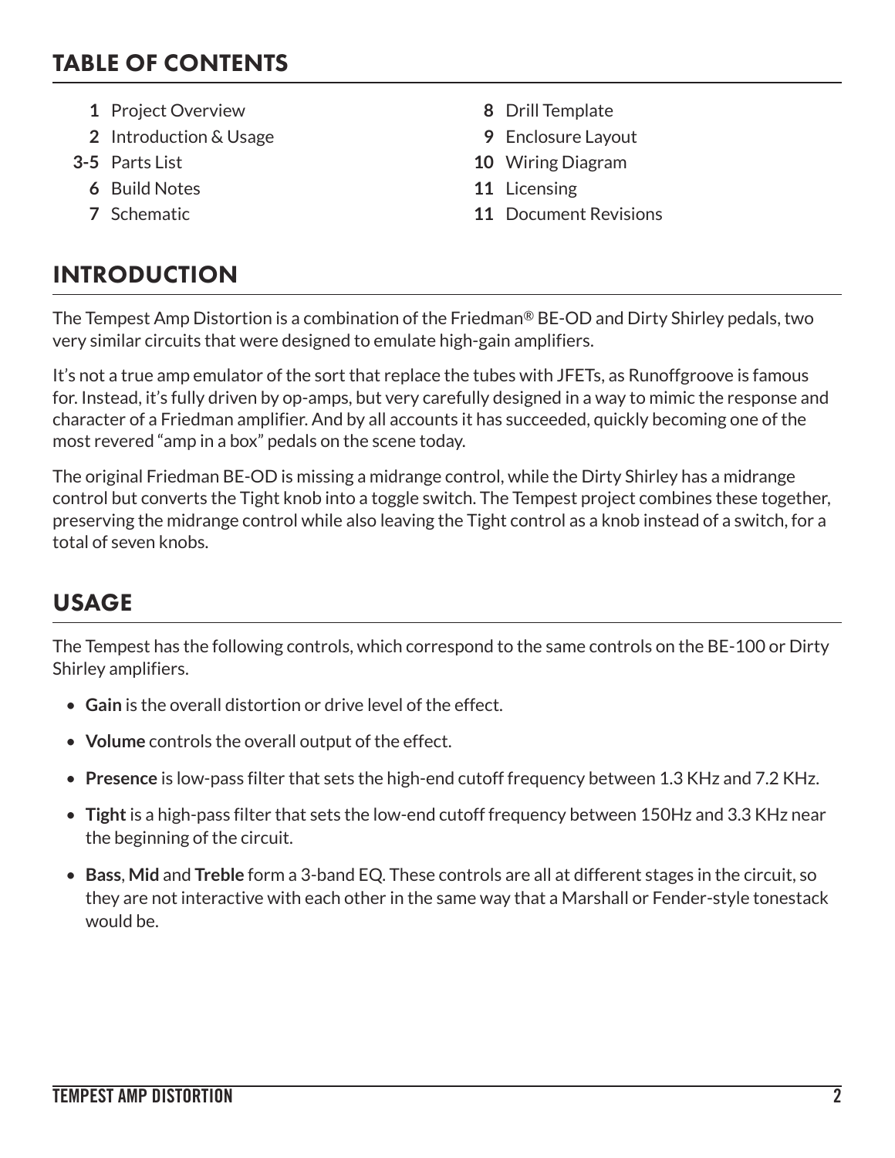## TABLE OF CONTENTS

- **1** Project Overview **8** Drill Template
- **2** Introduction & Usage **9** Enclosure Layout
- - **6** Build Notes **11** Licensing
	-
- 
- 
- **3-5** Parts List **10** Wiring Diagram
	-
	- **7** Schematic **11** Document Revisions

## INTRODUCTION

The Tempest Amp Distortion is a combination of the Friedman® BE-OD and Dirty Shirley pedals, two very similar circuits that were designed to emulate high-gain amplifiers.

It's not a true amp emulator of the sort that replace the tubes with JFETs, as Runoffgroove is famous for. Instead, it's fully driven by op-amps, but very carefully designed in a way to mimic the response and character of a Friedman amplifier. And by all accounts it has succeeded, quickly becoming one of the most revered "amp in a box" pedals on the scene today.

The original Friedman BE-OD is missing a midrange control, while the Dirty Shirley has a midrange control but converts the Tight knob into a toggle switch. The Tempest project combines these together, preserving the midrange control while also leaving the Tight control as a knob instead of a switch, for a total of seven knobs.

## USAGE

The Tempest has the following controls, which correspond to the same controls on the BE-100 or Dirty Shirley amplifiers.

- **Gain** is the overall distortion or drive level of the effect.
- **Volume** controls the overall output of the effect.
- **Presence** is low-pass filter that sets the high-end cutoff frequency between 1.3 KHz and 7.2 KHz.
- **Tight** is a high-pass filter that sets the low-end cutoff frequency between 150Hz and 3.3 KHz near the beginning of the circuit.
- **Bass**, **Mid** and **Treble** form a 3-band EQ. These controls are all at different stages in the circuit, so they are not interactive with each other in the same way that a Marshall or Fender-style tonestack would be.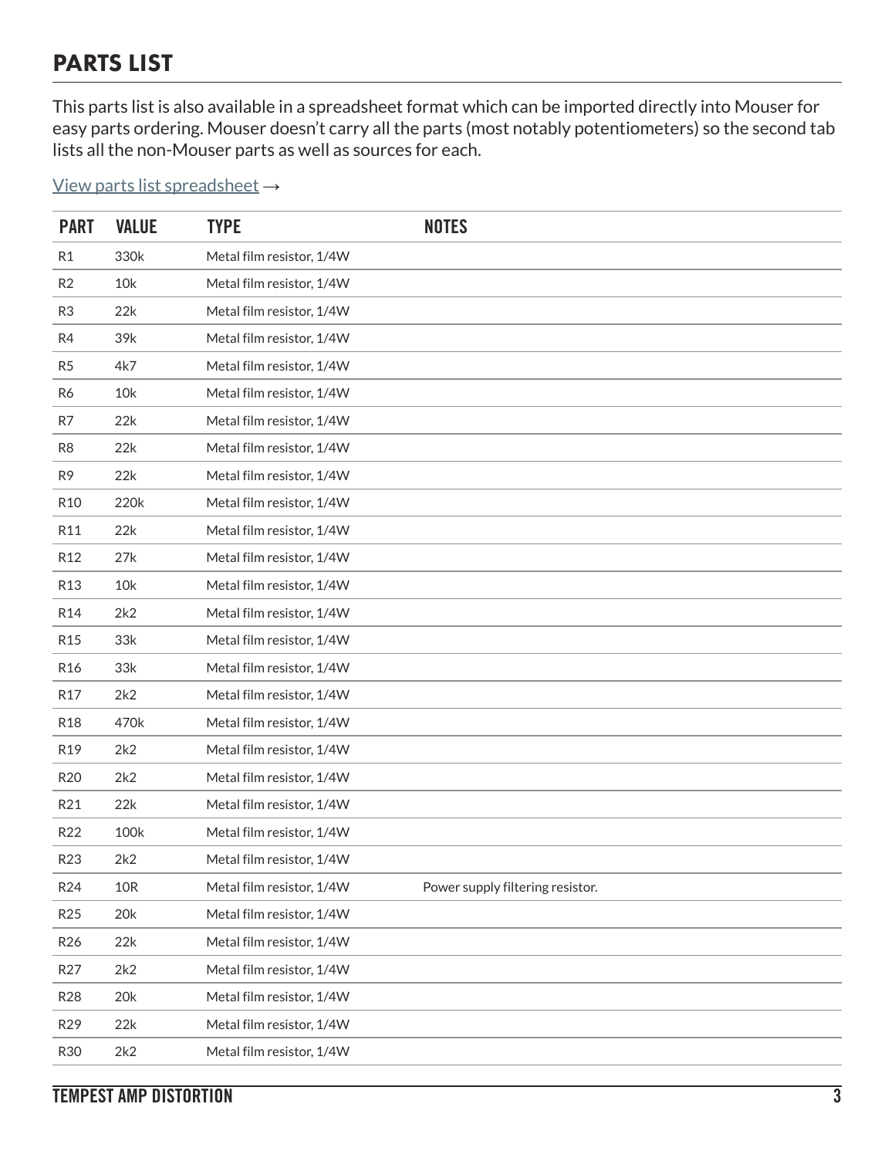## PARTS LIST

This parts list is also available in a spreadsheet format which can be imported directly into Mouser for easy parts ordering. Mouser doesn't carry all the parts (most notably potentiometers) so the second tab lists all the non-Mouser parts as well as sources for each.

[View parts list spreadsheet](https://docs.google.com/spreadsheets/d/1c5DgGb27x4NjIJDpFh-ythLTWbPIC_8uCRW1XZr9Dmg/edit?usp=sharing) →

| <b>PART</b>     | <b>VALUE</b> | <b>TYPE</b>               | <b>NOTES</b>                     |
|-----------------|--------------|---------------------------|----------------------------------|
| R <sub>1</sub>  | 330k         | Metal film resistor, 1/4W |                                  |
| R2              | 10k          | Metal film resistor, 1/4W |                                  |
| R <sub>3</sub>  | 22k          | Metal film resistor, 1/4W |                                  |
| R4              | 39k          | Metal film resistor, 1/4W |                                  |
| R <sub>5</sub>  | 4k7          | Metal film resistor, 1/4W |                                  |
| R <sub>6</sub>  | 10k          | Metal film resistor, 1/4W |                                  |
| R7              | 22k          | Metal film resistor, 1/4W |                                  |
| R <sub>8</sub>  | 22k          | Metal film resistor, 1/4W |                                  |
| R <sub>9</sub>  | 22k          | Metal film resistor, 1/4W |                                  |
| R <sub>10</sub> | 220k         | Metal film resistor, 1/4W |                                  |
| R11             | 22k          | Metal film resistor, 1/4W |                                  |
| R <sub>12</sub> | 27k          | Metal film resistor, 1/4W |                                  |
| R <sub>13</sub> | 10k          | Metal film resistor, 1/4W |                                  |
| R <sub>14</sub> | 2k2          | Metal film resistor, 1/4W |                                  |
| R <sub>15</sub> | 33k          | Metal film resistor, 1/4W |                                  |
| R <sub>16</sub> | 33k          | Metal film resistor, 1/4W |                                  |
| R <sub>17</sub> | 2k2          | Metal film resistor, 1/4W |                                  |
| <b>R18</b>      | 470k         | Metal film resistor, 1/4W |                                  |
| R19             | 2k2          | Metal film resistor, 1/4W |                                  |
| R <sub>20</sub> | 2k2          | Metal film resistor, 1/4W |                                  |
| R21             | 22k          | Metal film resistor, 1/4W |                                  |
| R22             | 100k         | Metal film resistor, 1/4W |                                  |
| R23             | 2k2          | Metal film resistor, 1/4W |                                  |
| R24             | 10R          | Metal film resistor, 1/4W | Power supply filtering resistor. |
| R <sub>25</sub> | 20k          | Metal film resistor, 1/4W |                                  |
| R <sub>26</sub> | 22k          | Metal film resistor, 1/4W |                                  |
| R27             | 2k2          | Metal film resistor, 1/4W |                                  |
| <b>R28</b>      | 20k          | Metal film resistor, 1/4W |                                  |
| R29             | 22k          | Metal film resistor, 1/4W |                                  |
| <b>R30</b>      | 2k2          | Metal film resistor, 1/4W |                                  |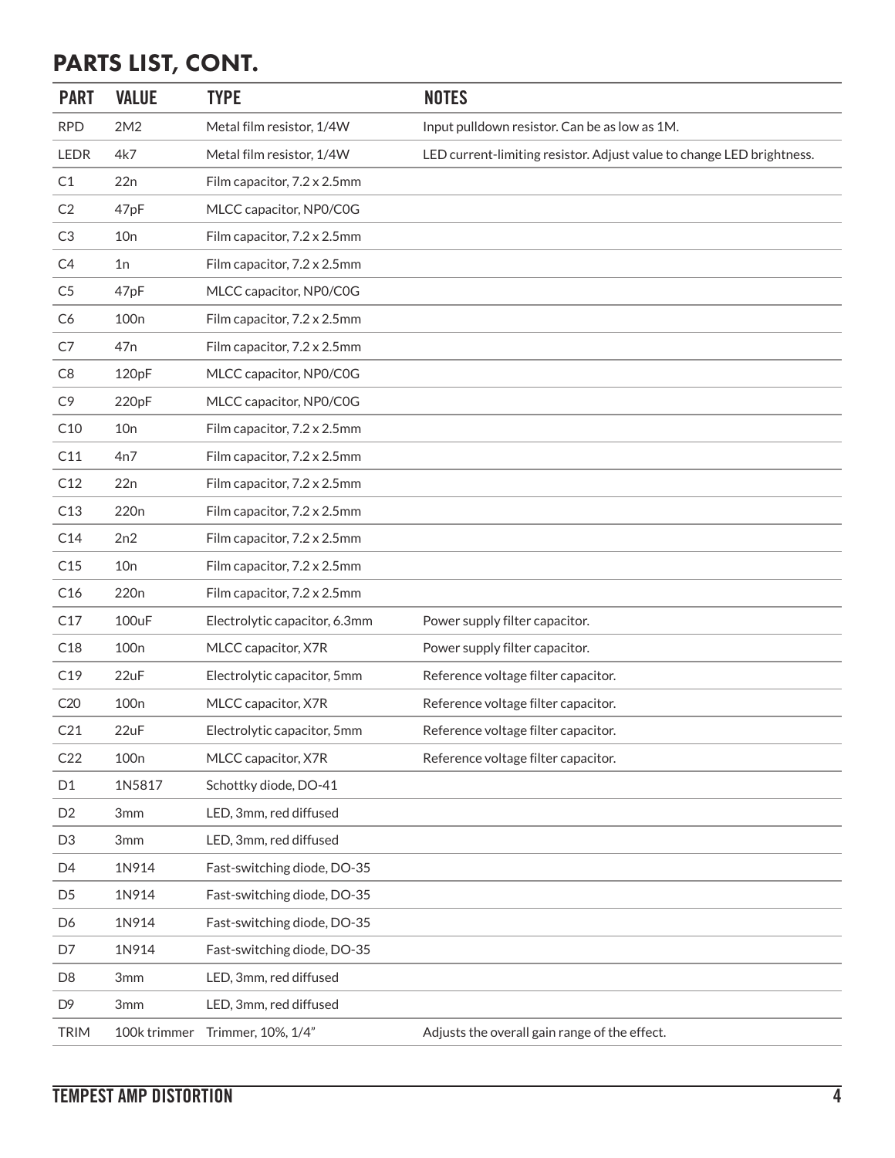## PARTS LIST, CONT.

| <b>PART</b>     | <b>VALUE</b>     | <b>TYPE</b>                   | <b>NOTES</b>                                                          |
|-----------------|------------------|-------------------------------|-----------------------------------------------------------------------|
| <b>RPD</b>      | 2M2              | Metal film resistor, 1/4W     | Input pulldown resistor. Can be as low as 1M.                         |
| <b>LEDR</b>     | 4k7              | Metal film resistor, 1/4W     | LED current-limiting resistor. Adjust value to change LED brightness. |
| C1              | 22n              | Film capacitor, 7.2 x 2.5mm   |                                                                       |
| C <sub>2</sub>  | 47pF             | MLCC capacitor, NP0/C0G       |                                                                       |
| C <sub>3</sub>  | 10n              | Film capacitor, 7.2 x 2.5mm   |                                                                       |
| C <sub>4</sub>  | 1n               | Film capacitor, 7.2 x 2.5mm   |                                                                       |
| C <sub>5</sub>  | 47pF             | MLCC capacitor, NP0/C0G       |                                                                       |
| C <sub>6</sub>  | 100 <sub>n</sub> | Film capacitor, 7.2 x 2.5mm   |                                                                       |
| C7              | 47n              | Film capacitor, 7.2 x 2.5mm   |                                                                       |
| C <sub>8</sub>  | 120pF            | MLCC capacitor, NP0/C0G       |                                                                       |
| C <sub>9</sub>  | 220pF            | MLCC capacitor, NP0/C0G       |                                                                       |
| C10             | 10n              | Film capacitor, 7.2 x 2.5mm   |                                                                       |
| C11             | 4n7              | Film capacitor, 7.2 x 2.5mm   |                                                                       |
| C12             | 22n              | Film capacitor, 7.2 x 2.5mm   |                                                                       |
| C13             | 220 <sub>n</sub> | Film capacitor, 7.2 x 2.5mm   |                                                                       |
| C14             | 2n2              | Film capacitor, 7.2 x 2.5mm   |                                                                       |
| C15             | 10n              | Film capacitor, 7.2 x 2.5mm   |                                                                       |
| C16             | 220 <sub>n</sub> | Film capacitor, 7.2 x 2.5mm   |                                                                       |
| C17             | 100uF            | Electrolytic capacitor, 6.3mm | Power supply filter capacitor.                                        |
| C18             | 100 <sub>n</sub> | MLCC capacitor, X7R           | Power supply filter capacitor.                                        |
| C19             | 22uF             | Electrolytic capacitor, 5mm   | Reference voltage filter capacitor.                                   |
| C20             | 100 <sub>n</sub> | MLCC capacitor, X7R           | Reference voltage filter capacitor.                                   |
| C21             | 22uF             | Electrolytic capacitor, 5mm   | Reference voltage filter capacitor.                                   |
| C <sub>22</sub> | 100 <sub>n</sub> | MLCC capacitor, X7R           | Reference voltage filter capacitor.                                   |
| D1              | 1N5817           | Schottky diode, DO-41         |                                                                       |
| D <sub>2</sub>  | 3mm              | LED, 3mm, red diffused        |                                                                       |
| D <sub>3</sub>  | 3mm              | LED, 3mm, red diffused        |                                                                       |
| D <sub>4</sub>  | 1N914            | Fast-switching diode, DO-35   |                                                                       |
| D <sub>5</sub>  | 1N914            | Fast-switching diode, DO-35   |                                                                       |
| D6              | 1N914            | Fast-switching diode, DO-35   |                                                                       |
| D7              | 1N914            | Fast-switching diode, DO-35   |                                                                       |
| D <sub>8</sub>  | 3mm              | LED, 3mm, red diffused        |                                                                       |
| D <sub>9</sub>  | 3mm              | LED, 3mm, red diffused        |                                                                       |
| <b>TRIM</b>     | 100k trimmer     | Trimmer, 10%, 1/4"            | Adjusts the overall gain range of the effect.                         |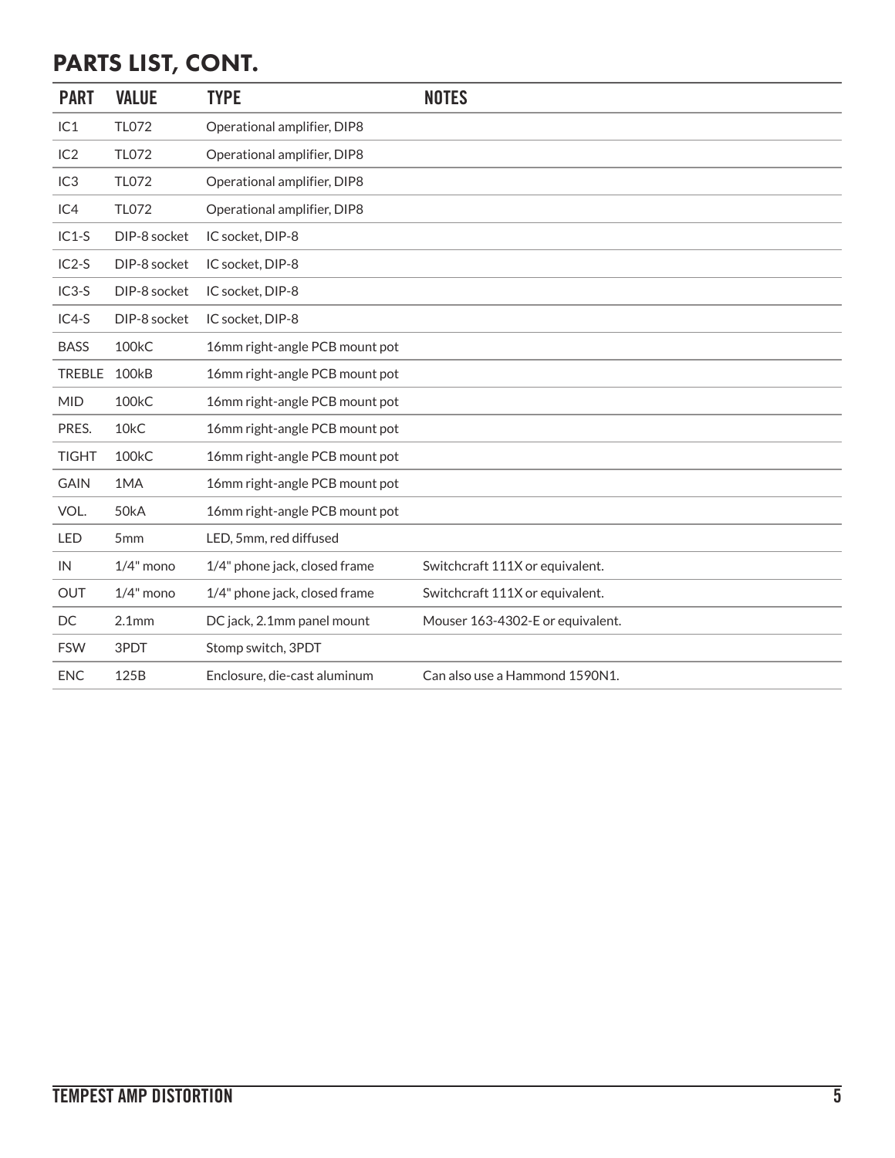## PARTS LIST, CONT.

| <b>PART</b>     | <b>VALUE</b>       | <b>TYPE</b>                    | <b>NOTES</b>                     |
|-----------------|--------------------|--------------------------------|----------------------------------|
| IC1             | <b>TL072</b>       | Operational amplifier, DIP8    |                                  |
| IC2             | <b>TL072</b>       | Operational amplifier, DIP8    |                                  |
| IC <sub>3</sub> | <b>TL072</b>       | Operational amplifier, DIP8    |                                  |
| IC4             | <b>TL072</b>       | Operational amplifier, DIP8    |                                  |
| $IC1-S$         | DIP-8 socket       | IC socket, DIP-8               |                                  |
| $IC2-S$         | DIP-8 socket       | IC socket, DIP-8               |                                  |
| $IC3-S$         | DIP-8 socket       | IC socket, DIP-8               |                                  |
| IC4-S           | DIP-8 socket       | IC socket, DIP-8               |                                  |
| <b>BASS</b>     | 100kC              | 16mm right-angle PCB mount pot |                                  |
| <b>TREBLE</b>   | <b>100kB</b>       | 16mm right-angle PCB mount pot |                                  |
| <b>MID</b>      | 100 <sub>k</sub> C | 16mm right-angle PCB mount pot |                                  |
| PRES.           | 10 <sub>k</sub> C  | 16mm right-angle PCB mount pot |                                  |
| <b>TIGHT</b>    | 100kC              | 16mm right-angle PCB mount pot |                                  |
| <b>GAIN</b>     | 1MA                | 16mm right-angle PCB mount pot |                                  |
| VOL.            | 50kA               | 16mm right-angle PCB mount pot |                                  |
| LED             | 5mm                | LED, 5mm, red diffused         |                                  |
| IN              | $1/4$ " mono       | 1/4" phone jack, closed frame  | Switchcraft 111X or equivalent.  |
| OUT             | $1/4"$ mono        | 1/4" phone jack, closed frame  | Switchcraft 111X or equivalent.  |
| DC              | 2.1 <sub>mm</sub>  | DC jack, 2.1mm panel mount     | Mouser 163-4302-E or equivalent. |
| <b>FSW</b>      | 3PDT               | Stomp switch, 3PDT             |                                  |
| <b>ENC</b>      | 125B               | Enclosure, die-cast aluminum   | Can also use a Hammond 1590N1.   |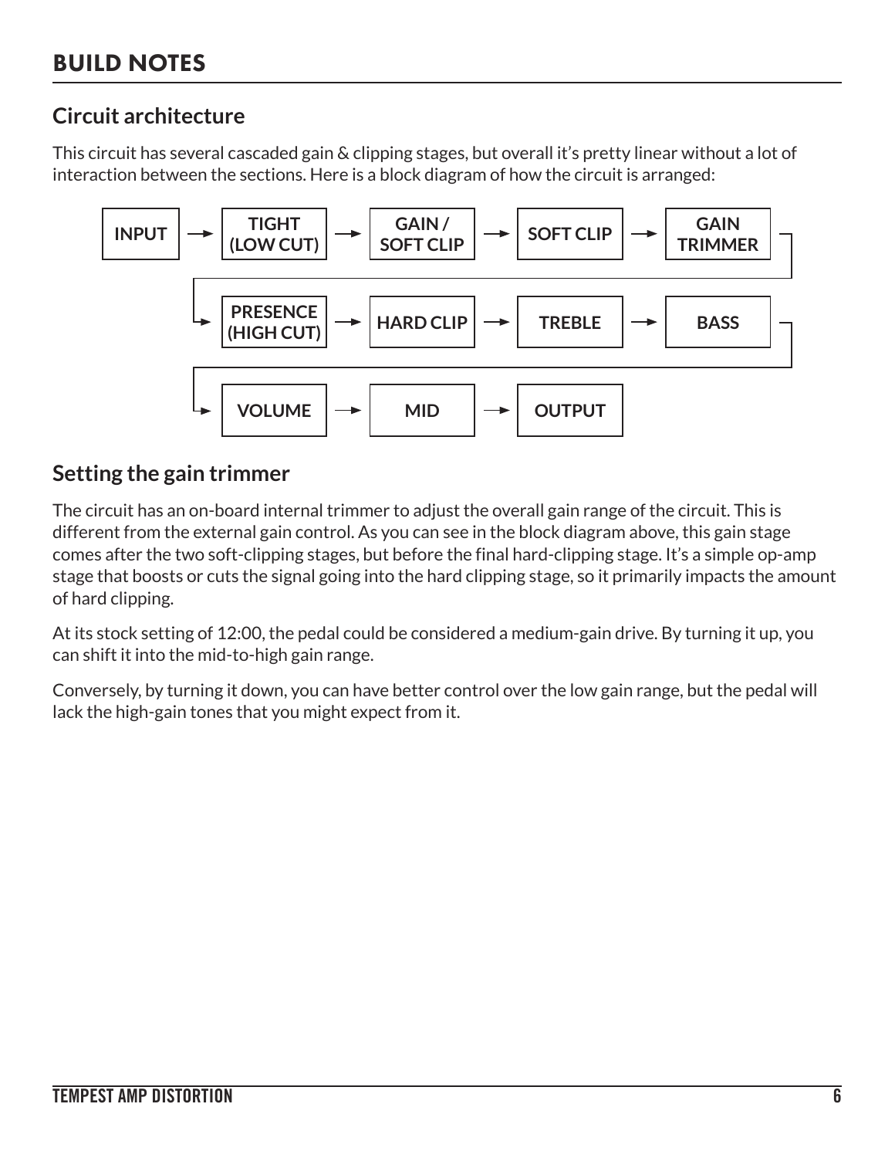### **Circuit architecture**

This circuit has several cascaded gain & clipping stages, but overall it's pretty linear without a lot of interaction between the sections. Here is a block diagram of how the circuit is arranged:



### **Setting the gain trimmer**

The circuit has an on-board internal trimmer to adjust the overall gain range of the circuit. This is different from the external gain control. As you can see in the block diagram above, this gain stage comes after the two soft-clipping stages, but before the final hard-clipping stage. It's a simple op-amp stage that boosts or cuts the signal going into the hard clipping stage, so it primarily impacts the amount of hard clipping.

At its stock setting of 12:00, the pedal could be considered a medium-gain drive. By turning it up, you can shift it into the mid-to-high gain range.

Conversely, by turning it down, you can have better control over the low gain range, but the pedal will lack the high-gain tones that you might expect from it.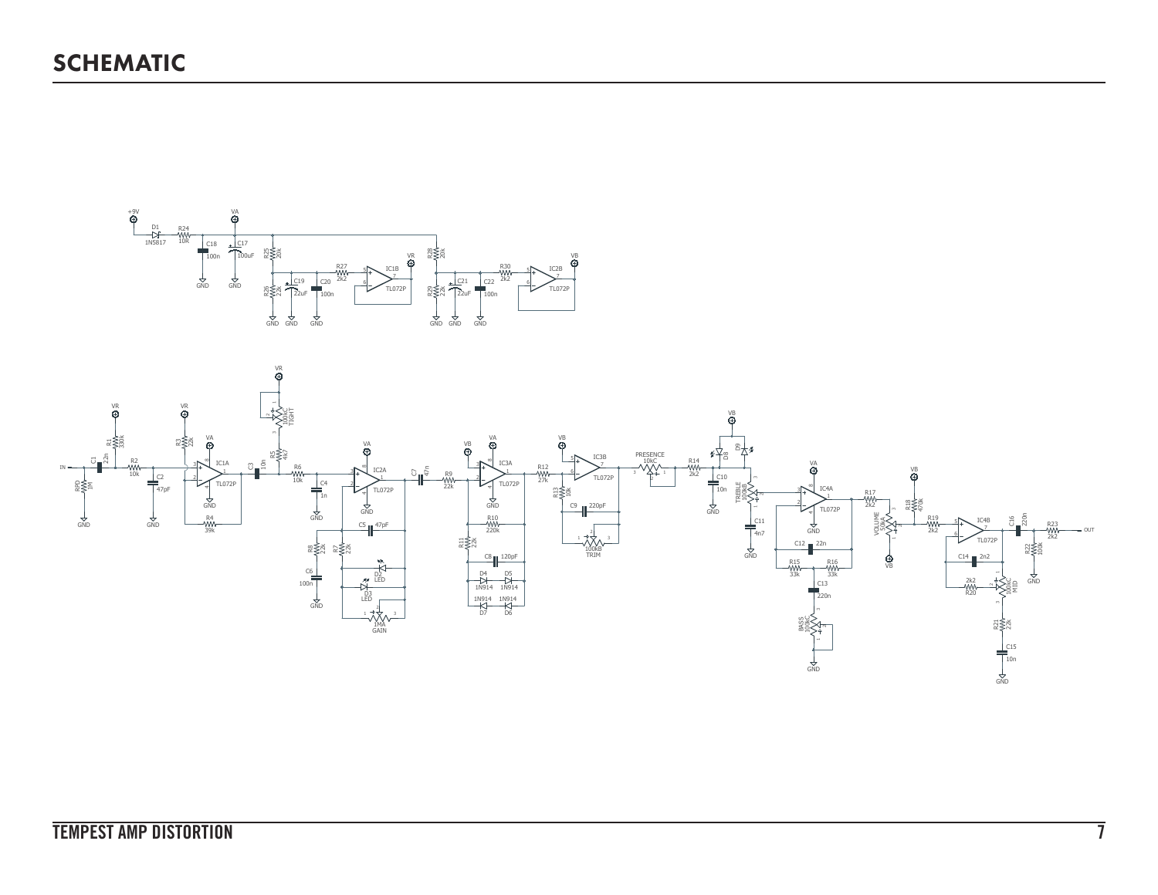

1MA GAIN

3

1

100kC

MID

220n

C16

100k 2k2 R22

R23<br>WW<br>2k2

OUT

 $\frac{1}{2}$ nd

 $72x$ 

10n  $\overline{S}$ 

C15

100kC

BASS

 $rac{1}{\sqrt{2}}$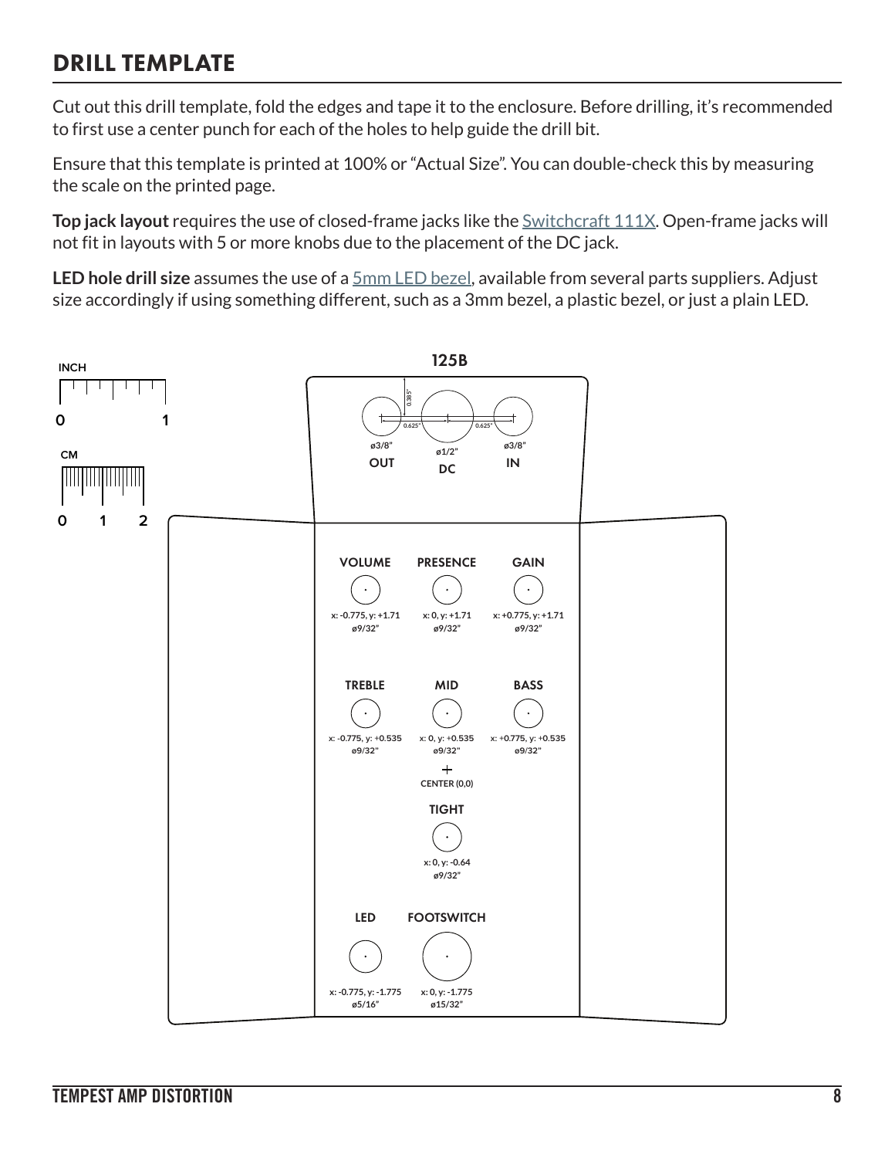## DRILL TEMPLATE

Cut out this drill template, fold the edges and tape it to the enclosure. Before drilling, it's recommended to first use a center punch for each of the holes to help guide the drill bit.

Ensure that this template is printed at 100% or "Actual Size". You can double-check this by measuring the scale on the printed page.

**Top jack layout** requires the use of closed-frame jacks like the **Switchcraft 111X**. Open-frame jacks will not fit in layouts with 5 or more knobs due to the placement of the DC jack.

**LED hole drill size** assumes the use of a [5mm LED bezel,](http://www.smallbear-electronics.mybigcommerce.com/bezel-5mm-chrome/) available from several parts suppliers. Adjust size accordingly if using something different, such as a 3mm bezel, a plastic bezel, or just a plain LED.

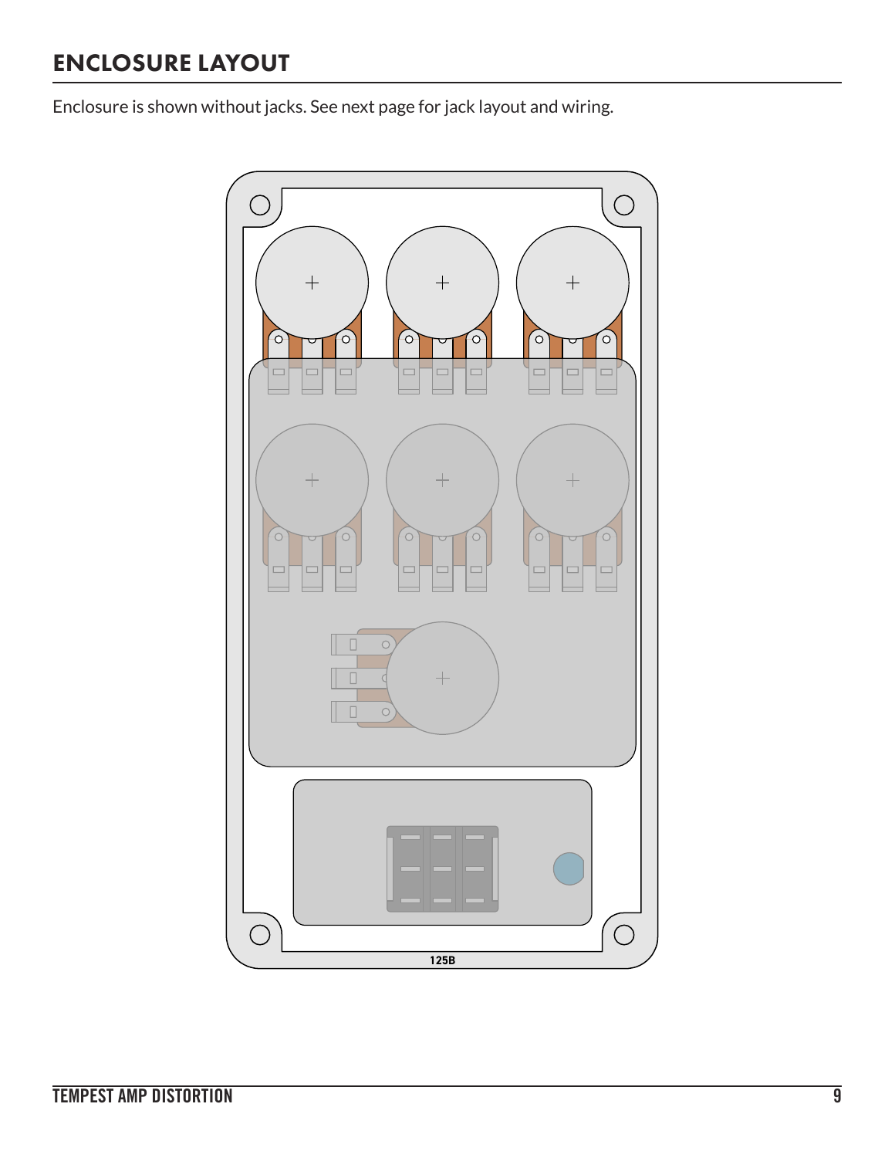## ENCLOSURE LAYOUT

Enclosure is shown without jacks. See next page for jack layout and wiring.

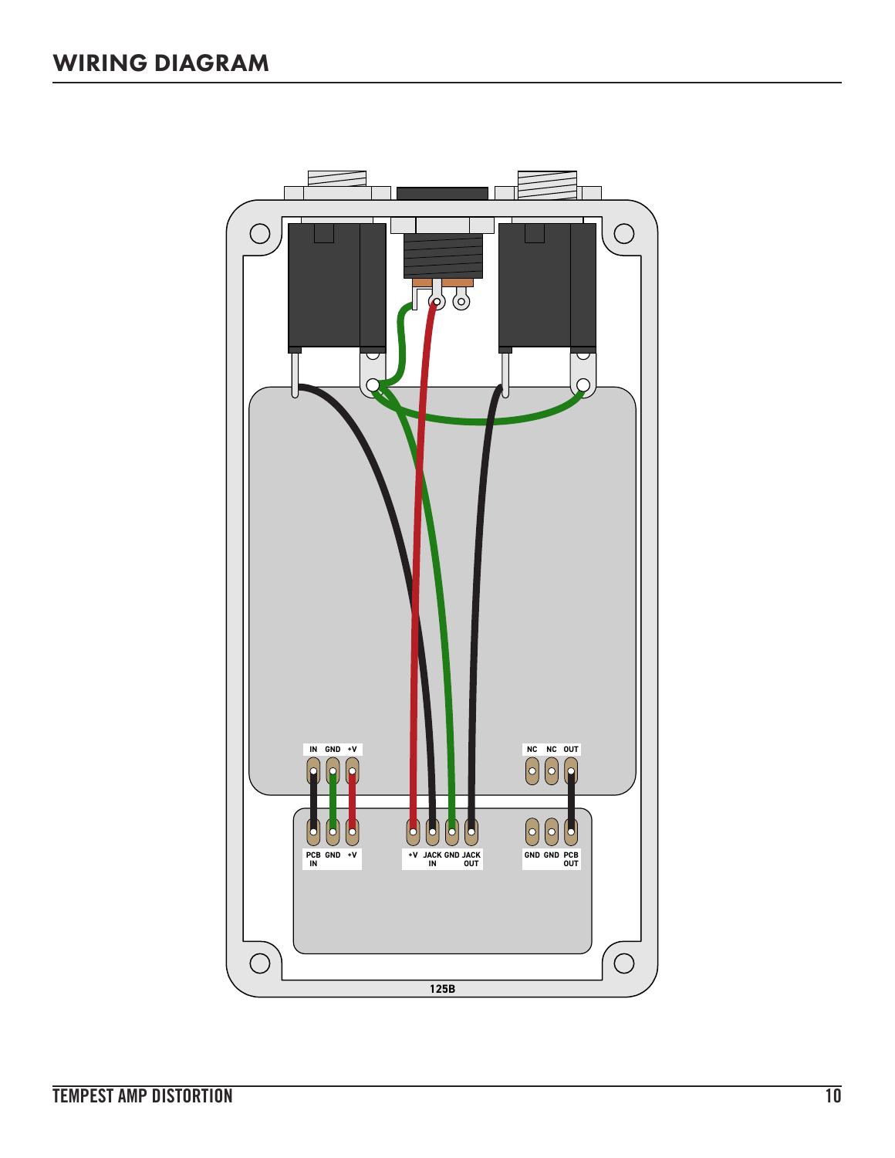